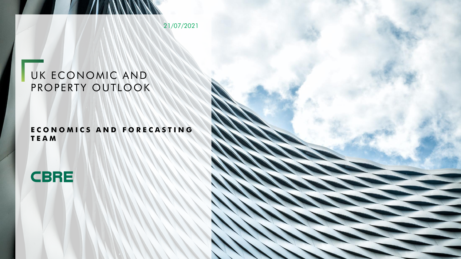21/07/2021

# UK ECONOMIC AND PROPERTY OUTLOOK

## **E C O N O M I C S A N D F O R E C A S T I N G T E A M**

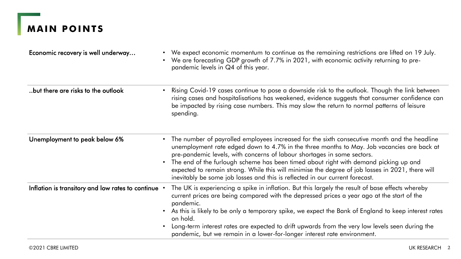# **MAIN POINTS**

| Economic recovery is well underway                  | • We expect economic momentum to continue as the remaining restrictions are lifted on 19 July.<br>We are forecasting GDP growth of 7.7% in 2021, with economic activity returning to pre-<br>$\bullet$<br>pandemic levels in Q4 of this year.                                                                                                                                                                                                                                                                                                                    |
|-----------------------------------------------------|------------------------------------------------------------------------------------------------------------------------------------------------------------------------------------------------------------------------------------------------------------------------------------------------------------------------------------------------------------------------------------------------------------------------------------------------------------------------------------------------------------------------------------------------------------------|
| but there are risks to the outlook                  | Rising Covid-19 cases continue to pose a downside risk to the outlook. Though the link between<br>$\bullet$<br>rising cases and hospitalisations has weakened, evidence suggests that consumer confidence can<br>be impacted by rising case numbers. This may slow the return to normal patterns of leisure<br>spending.                                                                                                                                                                                                                                         |
| Unemployment to peak below 6%                       | • The number of payrolled employees increased for the sixth consecutive month and the headline<br>unemployment rate edged down to 4.7% in the three months to May. Job vacancies are back at<br>pre-pandemic levels, with concerns of labour shortages in some sectors.<br>The end of the furlough scheme has been timed about right with demand picking up and<br>$\bullet$<br>expected to remain strong. While this will minimise the degree of job losses in 2021, there will<br>inevitably be some job losses and this is reflected in our current forecast. |
| Inflation is transitory and low rates to continue . | The UK is experiencing a spike in inflation. But this largely the result of base effects whereby<br>current prices are being compared with the depressed prices a year ago at the start of the<br>pandemic.<br>As this is likely to be only a temporary spike, we expect the Bank of England to keep interest rates<br>$\bullet$<br>on hold.<br>Long-term interest rates are expected to drift upwards from the very low levels seen during the<br>$\bullet$<br>pandemic, but we remain in a lower-for-longer interest rate environment.                         |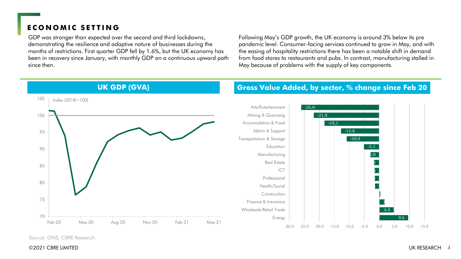### **ECONOMIC SETTING**

GDP was stronger than expected over the second and third lockdowns, demonstrating the resilience and adaptive nature of businesses during the months of restrictions. First quarter GDP fell by 1.6%, but the UK economy has been in recovery since January, with monthly GDP on a continuous upward path since then.

Following May's GDP growth, the UK economy is around 3% below its pre pandemic level. Consumer-facing services continued to grow in May, and with the easing of hospitality restrictions there has been a notable shift in demand from food stores to restaurants and pubs. In contrast, manufacturing stalled in May because of problems with the supply of key components.

**Gross Value Added, by sector, % change since Feb 20**



# **UK GDP (GVA)**

Source: ONS, CBRE Research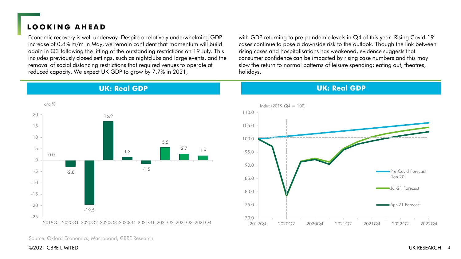# **L O O K I N G A H E A D**

Economic recovery is well underway. Despite a relatively underwhelming GDP increase of 0.8% m/m in May, we remain confident that momentum will build again in Q3 following the lifting of the outstanding restrictions on 19 July. This includes previously closed settings, such as nightclubs and large events, and the removal of social distancing restrictions that required venues to operate at reduced capacity. We expect UK GDP to grow by 7.7% in 2021,

with GDP returning to pre-pandemic levels in Q4 of this year. Rising Covid-19 cases continue to pose a downside risk to the outlook. Though the link between rising cases and hospitalisations has weakened, evidence suggests that consumer confidence can be impacted by rising case numbers and this may slow the return to normal patterns of leisure spending: eating out, theatres, holidays.



**UK: Real GDP**

#### **UK: Real GDP**



Source: Oxford Economics, Macrobond, CBRE Research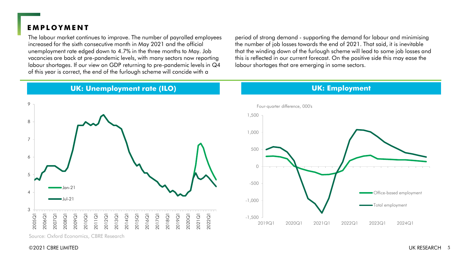### **E M P L O Y M E N T**

The labour market continues to improve. The number of payrolled employees increased for the sixth consecutive month in May 2021 and the official unemployment rate edged down to 4.7% in the three months to May. Job vacancies are back at pre-pandemic levels, with many sectors now reporting labour shortages. If our view on GDP returning to pre-pandemic levels in Q4 of this year is correct, the end of the furlough scheme will concide with a

period of strong demand - supporting the demand for labour and minimising the number of job losses towards the end of 2021. That said, it is inevitable that the winding down of the furlough scheme will lead to some job losses and this is reflected in our current forecast. On the positive side this may ease the labour shortages that are emerging in some sectors.

#### **UK: Unemployment rate (ILO)**



Source: Oxford Economics, CBRE Research



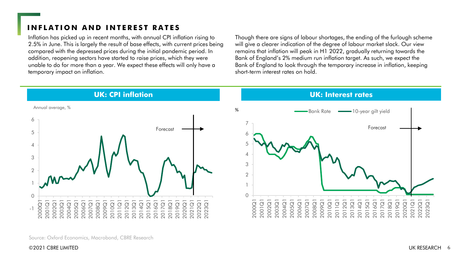# **INFLATION AND INTEREST RATES**

Inflation has picked up in recent months, with annual CPI inflation rising to 2.5% in June. This is largely the result of base effects, with current prices being compared with the depressed prices during the initial pandemic period. In addition, reopening sectors have started to raise prices, which they were unable to do for more than a year. We expect these effects will only have a temporary impact on inflation.

Though there are signs of labour shortages, the ending of the furlough scheme will give a clearer indication of the degree of labour market slack. Our view remains that inflation will peak in H1 2022, gradually returning towards the Bank of England's 2% medium run inflation target. As such, we expect the Bank of England to look through the temporary increase in inflation, keeping short-term interest rates on hold.

**UK: Interest rates**



**UK: CPI inflation**



Source: Oxford Economics, Macrobond, CBRE Research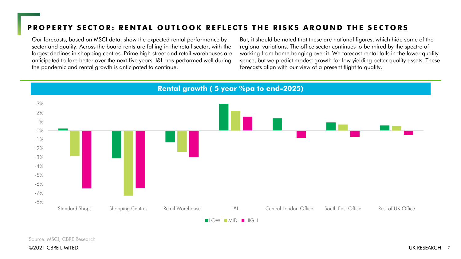# PROPERTY SECTOR: RENTAL OUTLOOK REFLECTS THE RISKS AROUND THE SECTORS

Our forecasts, based on MSCI data, show the expected rental performance by sector and quality. Across the board rents are falling in the retail sector, with the largest declines in shopping centres. Prime high street and retail warehouses are anticipated to fare better over the next five years. I&L has performed well during the pandemic and rental growth is anticipated to continue.

But, it should be noted that these are national figures, which hide some of the regional variations. The office sector continues to be mired by the spectre of working from home hanging over it. We forecast rental falls in the lower quality space, but we predict modest growth for low yielding better quality assets. These forecasts align with our view of a present flight to quality.



 $\blacksquare$ LOW  $\blacksquare$ MID  $\blacksquare$ HIGH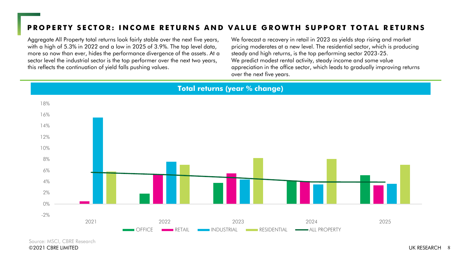# PROPERTY SECTOR: INCOME RETURNS AND VALUE GROWTH SUPPORT TOTAL RETURNS

Aggregate All Property total returns look fairly stable over the next five years, with a high of 5.3% in 2022 and a low in 2025 of 3.9%. The top level data, more so now than ever, hides the performance divergence of the assets. At a sector level the industrial sector is the top performer over the next two years, this reflects the continuation of yield falls pushing values.

We forecast a recovery in retail in 2023 as yields stop rising and market pricing moderates at a new level. The residential sector, which is producing steady and high returns, is the top performing sector 2023-25. We predict modest rental activity, steady income and some value appreciation in the office sector, which leads to gradually improving returns over the next five years.



Source: MSCI, CBRE Research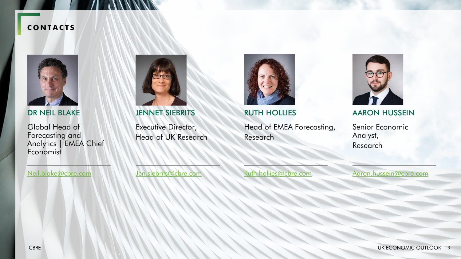### **C O N T A C T S**



DR NEIL BLAKE

Global Head of Forecasting and Analytics | EMEA Chief Economist



JENNET SIEBRITS

Executive Director, Head of UK Research



RUTH HOLLIES

Head of EMEA Forecasting, Research



AARON HUSSEIN

Senior Economic Analyst, Research

[Neil.blake@cbre.com](mailto:Rhodri.Davies@cbre.com)

[Jen.siebrits@cbre.com](mailto:Jen.Siebrits@cbre.com)

[Ruth.hollies@cbre.com](mailto:Ruth.hollies@cbre.com)

[Aaron.hussein@cbre.com](mailto:Aaron.hussein@cbre.com)